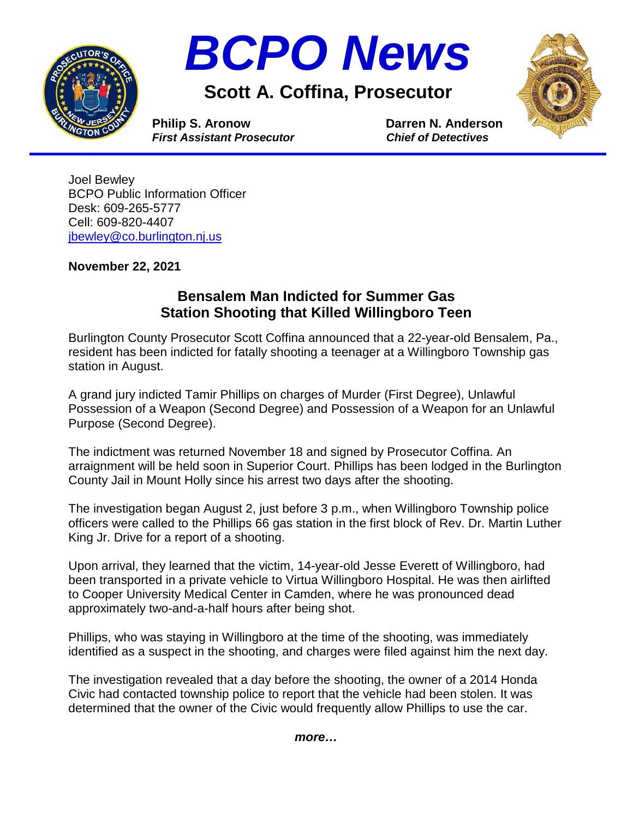



**Scott A. Coffina, Prosecutor**



**Philip S. Aronow Darren N. Anderson**<br> *First Assistant Prosecutor* Chief of Detectives *First Assistant Prosecutor* 

Joel Bewley BCPO Public Information Officer Desk: 609-265-5777 Cell: 609-820-4407 [jbewley@co.burlington.nj.us](mailto:jbewley@co.burlington.nj.us)

**November 22, 2021**

## **Bensalem Man Indicted for Summer Gas Station Shooting that Killed Willingboro Teen**

Burlington County Prosecutor Scott Coffina announced that a 22-year-old Bensalem, Pa., resident has been indicted for fatally shooting a teenager at a Willingboro Township gas station in August.

A grand jury indicted Tamir Phillips on charges of Murder (First Degree), Unlawful Possession of a Weapon (Second Degree) and Possession of a Weapon for an Unlawful Purpose (Second Degree).

The indictment was returned November 18 and signed by Prosecutor Coffina. An arraignment will be held soon in Superior Court. Phillips has been lodged in the Burlington County Jail in Mount Holly since his arrest two days after the shooting.

The investigation began August 2, just before 3 p.m., when Willingboro Township police officers were called to the Phillips 66 gas station in the first block of Rev. Dr. Martin Luther King Jr. Drive for a report of a shooting.

Upon arrival, they learned that the victim, 14-year-old Jesse Everett of Willingboro, had been transported in a private vehicle to Virtua Willingboro Hospital. He was then airlifted to Cooper University Medical Center in Camden, where he was pronounced dead approximately two-and-a-half hours after being shot.

Phillips, who was staying in Willingboro at the time of the shooting, was immediately identified as a suspect in the shooting, and charges were filed against him the next day.

The investigation revealed that a day before the shooting, the owner of a 2014 Honda Civic had contacted township police to report that the vehicle had been stolen. It was determined that the owner of the Civic would frequently allow Phillips to use the car.

*more…*